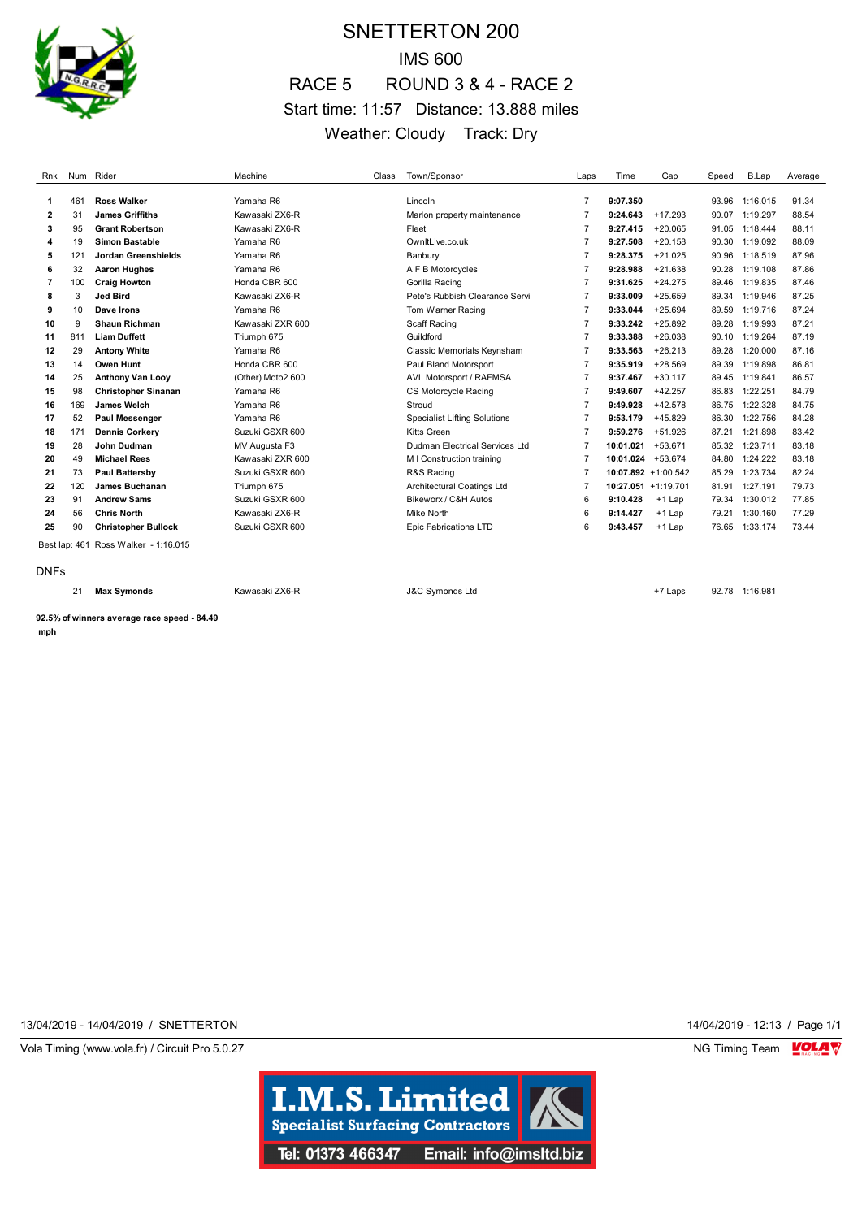

## SNETTERTON 200 IMS 600 RACE 5 ROUND 3 & 4 - RACE 2 Start time: 11:57 Distance: 13.888 miles Weather: Cloudy Track: Dry

| Rnk         |     | Num Rider                            | Machine           | Class | Town/Sponsor                        | Laps           | Time              | Gap                    | Speed | B.Lap          | Average |
|-------------|-----|--------------------------------------|-------------------|-------|-------------------------------------|----------------|-------------------|------------------------|-------|----------------|---------|
| 1           | 461 | <b>Ross Walker</b>                   | Yamaha R6         |       | Lincoln                             | $\overline{7}$ | 9:07.350          |                        | 93.96 | 1:16.015       | 91.34   |
| 2           | 31  | <b>James Griffiths</b>               | Kawasaki ZX6-R    |       | Marlon property maintenance         | $\overline{7}$ | 9:24.643          | $+17.293$              | 90.07 | 1:19.297       | 88.54   |
| 3           | 95  | <b>Grant Robertson</b>               | Kawasaki ZX6-R    |       | Fleet                               | $\overline{7}$ | 9:27.415          | $+20.065$              | 91.05 | 1:18.444       | 88.11   |
| 4           | 19  | Simon Bastable                       | Yamaha R6         |       | OwnItLive.co.uk                     | $\overline{7}$ | 9:27.508          | $+20.158$              | 90.30 | 1:19.092       | 88.09   |
| 5           | 121 | Jordan Greenshields                  | Yamaha R6         |       | Banbury                             | 7              | 9:28.375          | $+21.025$              | 90.96 | 1:18.519       | 87.96   |
| 6           | 32  | <b>Aaron Hughes</b>                  | Yamaha R6         |       | A F B Motorcycles                   | $\overline{7}$ | 9:28.988          | $+21.638$              | 90.28 | 1:19.108       | 87.86   |
| 7           | 100 | <b>Craig Howton</b>                  | Honda CBR 600     |       | Gorilla Racing                      | $\overline{7}$ | 9:31.625          | $+24.275$              | 89.46 | 1:19.835       | 87.46   |
| 8           | 3   | <b>Jed Bird</b>                      | Kawasaki ZX6-R    |       | Pete's Rubbish Clearance Servi      | $\overline{7}$ | 9:33.009          | $+25.659$              | 89.34 | 1:19.946       | 87.25   |
| 9           | 10  | Dave Irons                           | Yamaha R6         |       | Tom Warner Racing                   | $\overline{7}$ | 9:33.044          | $+25.694$              | 89.59 | 1:19.716       | 87.24   |
| 10          | 9   | <b>Shaun Richman</b>                 | Kawasaki ZXR 600  |       | Scaff Racing                        | $\overline{7}$ | 9:33.242          | $+25.892$              | 89.28 | 1:19.993       | 87.21   |
| 11          | 811 | <b>Liam Duffett</b>                  | Triumph 675       |       | Guildford                           | $\overline{7}$ | 9:33.388          | $+26.038$              | 90.10 | 1:19.264       | 87.19   |
| 12          | 29  | <b>Antony White</b>                  | Yamaha R6         |       | Classic Memorials Keynsham          | $\overline{7}$ | 9:33.563          | $+26.213$              | 89.28 | 1:20.000       | 87.16   |
| 13          | 14  | Owen Hunt                            | Honda CBR 600     |       | Paul Bland Motorsport               | $\overline{7}$ | 9:35.919          | $+28.569$              | 89.39 | 1:19.898       | 86.81   |
| 14          | 25  | <b>Anthony Van Looy</b>              | (Other) Moto2 600 |       | AVL Motorsport / RAFMSA             | $\overline{7}$ | 9:37.467          | $+30.117$              | 89.45 | 1:19.841       | 86.57   |
| 15          | 98  | <b>Christopher Sinanan</b>           | Yamaha R6         |       | CS Motorcycle Racing                | $\overline{7}$ | 9:49.607          | $+42.257$              | 86.83 | 1:22.251       | 84.79   |
| 16          | 169 | James Welch                          | Yamaha R6         |       | Stroud                              | $\overline{7}$ | 9:49.928          | $+42.578$              | 86.75 | 1:22.328       | 84.75   |
| 17          | 52  | <b>Paul Messenger</b>                | Yamaha R6         |       | <b>Specialist Lifting Solutions</b> | $\overline{7}$ | 9:53.179          | $+45.829$              | 86.30 | 1:22.756       | 84.28   |
| 18          | 171 | <b>Dennis Corkery</b>                | Suzuki GSXR 600   |       | <b>Kitts Green</b>                  | $\overline{7}$ | 9:59.276          | $+51.926$              | 87.21 | 1:21.898       | 83.42   |
| 19          | 28  | John Dudman                          | MV Augusta F3     |       | Dudman Electrical Services Ltd      | $\overline{7}$ | 10:01.021         | $+53.671$              | 85.32 | 1:23.711       | 83.18   |
| 20          | 49  | <b>Michael Rees</b>                  | Kawasaki ZXR 600  |       | M I Construction training           | $\overline{7}$ | 10:01.024 +53.674 |                        | 84.80 | 1:24.222       | 83.18   |
| 21          | 73  | Paul Battersby                       | Suzuki GSXR 600   |       | R&S Racing                          | $\overline{7}$ |                   | $10:07.892 + 1:00.542$ | 85.29 | 1:23.734       | 82.24   |
| 22          | 120 | James Buchanan                       | Triumph 675       |       | Architectural Coatings Ltd          | 7              |                   | $10:27.051 + 1:19.701$ | 81.91 | 1:27.191       | 79.73   |
| 23          | 91  | <b>Andrew Sams</b>                   | Suzuki GSXR 600   |       | Bikeworx / C&H Autos                | 6              | 9:10.428          | $+1$ Lap               | 79.34 | 1:30.012       | 77.85   |
| 24          | 56  | <b>Chris North</b>                   | Kawasaki ZX6-R    |       | Mike North                          | 6              | 9:14.427          | $+1$ Lap               | 79.21 | 1:30.160       | 77.29   |
| 25          | 90  | <b>Christopher Bullock</b>           | Suzuki GSXR 600   |       | <b>Epic Fabrications LTD</b>        | 6              | 9:43.457          | $+1$ Lap               | 76.65 | 1:33.174       | 73.44   |
|             |     | Best lap: 461 Ross Walker - 1:16.015 |                   |       |                                     |                |                   |                        |       |                |         |
| <b>DNFs</b> |     |                                      |                   |       |                                     |                |                   |                        |       |                |         |
|             | 21  | <b>Max Symonds</b>                   | Kawasaki ZX6-R    |       | <b>J&amp;C Symonds Ltd</b>          |                |                   | +7 Laps                |       | 92.78 1:16.981 |         |

**92.5% of winners average race speed - 84.49 mph**

13/04/2019 - 14/04/2019 / SNETTERTON 14/04/2019 - 12:13 / Page 1/1

Vola Timing (www.vola.fr) / Circuit Pro 5.0.27 **NG Timing Team MOLA View Area** NG Timing Team MOLA View Area NG Timing Team MOLA View Area NG Timing Team MOLA View Area NG Timing Team MOLA View Area NG Timing Team MOLA Vie

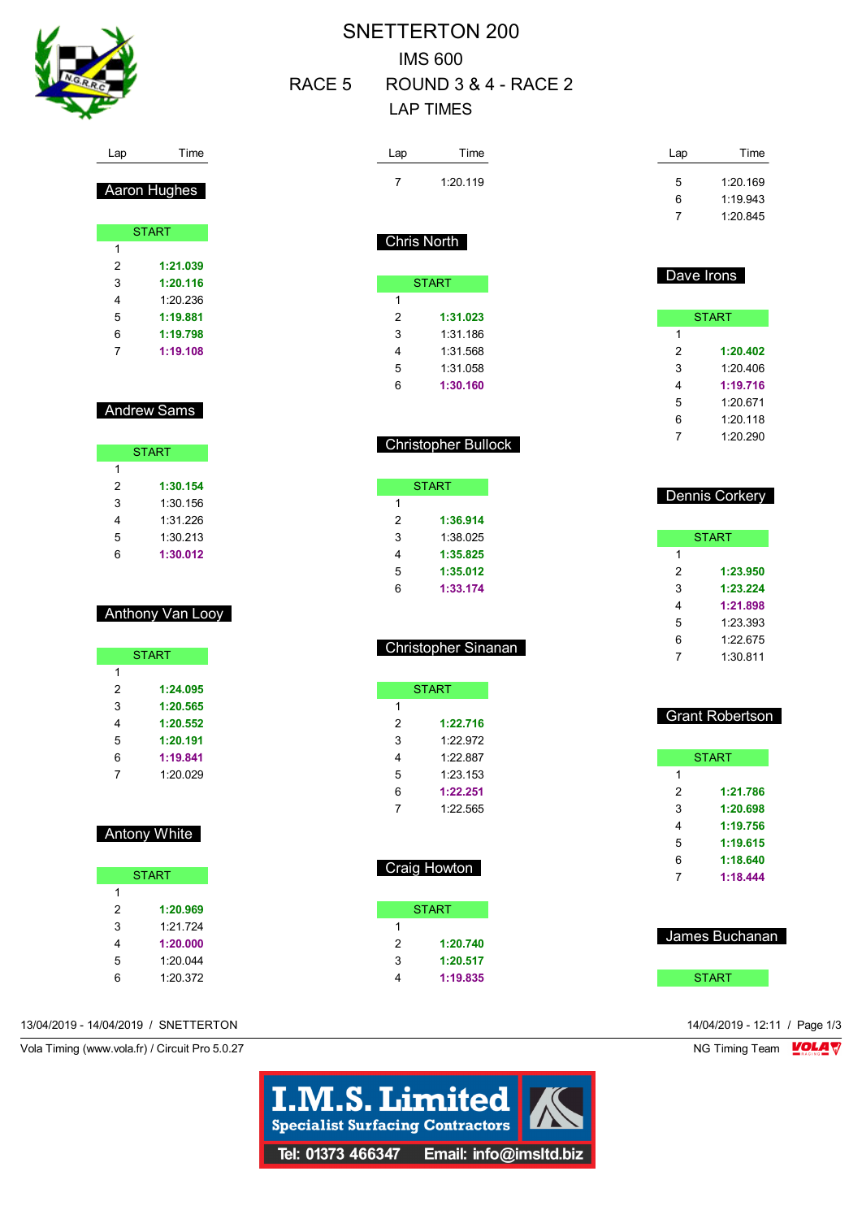

#### Lap Time

Aaron Hughes

|   | <b>START</b> |
|---|--------------|
| 1 |              |
| 2 | 1:21.039     |
| 3 | 1:20.116     |
| 4 | 1.20 236     |
| 5 | 1:19.881     |
| 6 | 1:19.798     |
| 7 | 1:19.108     |
|   |              |

#### Andrew Sams

ſ

|   | <b>START</b> |
|---|--------------|
| 1 |              |
| 2 | 1:30.154     |
| 3 | 1:30 156     |
| 4 | 1:31.226     |
| 5 | 1:30.213     |
| հ | 1:30.012     |

#### Anthony Van Looy

|   | <b>START</b> |
|---|--------------|
| 1 |              |
| 2 | 1:24.095     |
| 3 | 1:20.565     |
| 4 | 1:20.552     |
| 5 | 1:20.191     |
| 6 | 1:19.841     |
|   | 1:20.029     |

#### Antony White

|   | <b>START</b> |
|---|--------------|
| 1 |              |
| 2 | 1:20.969     |
| 3 | 1.21 724     |
| 4 | 1:20.000     |
| 5 | 1:20.044     |
| հ | 1:20.372     |

## SNETTERTON 200 IMS 600 RACE 5 ROUND 3 & 4 - RACE 2 LAP TIMES

| Lap | Time     |
|-----|----------|
|     | 1:20.119 |
|     |          |

### Lap Time 1:20.169 1:19.943 1:20.845

#### Chris North

| <b>START</b> |          |  |  |  |
|--------------|----------|--|--|--|
| 1            |          |  |  |  |
| 2            | 1:31.023 |  |  |  |
| 3            | 1:31 186 |  |  |  |
| 4            | 1:31.568 |  |  |  |
| 5            | 1:31.058 |  |  |  |
| 6            | 1:30.160 |  |  |  |

#### Christopher Bullock

|   | START    |
|---|----------|
| 1 |          |
| 2 | 1:36.914 |
| 3 | 1:38.025 |
| 4 | 1:35.825 |
| 5 | 1:35.012 |
| 6 | 1:33.174 |

#### Christopher Sinanan

|   | START    |
|---|----------|
| 1 |          |
| 2 | 1:22.716 |
| 3 | 1.22.972 |
| 4 | 1.22.887 |
| 5 | 1:23.153 |
| 6 | 1:22.251 |
| 7 | 1.22.565 |
|   |          |

# Craig Howton

|   | <b>START</b> |
|---|--------------|
| 1 |              |
| 2 | 1:20.740     |
| 3 | 1:20.517     |
| 4 | 1:19.835     |
|   |              |

# Dave Irons

|   | <b>START</b> |
|---|--------------|
| 1 |              |
| 2 | 1:20.402     |
| 3 | 1.20 406     |
| 4 | 1:19.716     |
| 5 | 1:20.671     |
| 6 | 1:20.118     |
|   | 1:20.290     |

#### Dennis Corkery

| START |          |  |  |  |  |
|-------|----------|--|--|--|--|
| 1     |          |  |  |  |  |
| 2     | 1:23.950 |  |  |  |  |
| 3     | 1:23.224 |  |  |  |  |
| 4     | 1:21.898 |  |  |  |  |
| 5     | 1.23.393 |  |  |  |  |
| 6     | 1:22.675 |  |  |  |  |
|       | 1:30 811 |  |  |  |  |

#### Grant Robertson **START 1:21.786 1:20.698 1:19.756**

 **1:19.615 1:18.640 1:18.444**

| James Buchanan |  |
|----------------|--|
|                |  |

START

13/04/2019 - 14/04/2019 / SNETTERTON 14/04/2019 - 12:11 / Page 1/3

Vola Timing (www.vola.fr) / Circuit Pro 5.0.27 NG Timing Team VOLA V

**I.M.S. Limited Specialist Surfacing Contractors** Tel: 01373 466347 Email: info@imsltd.biz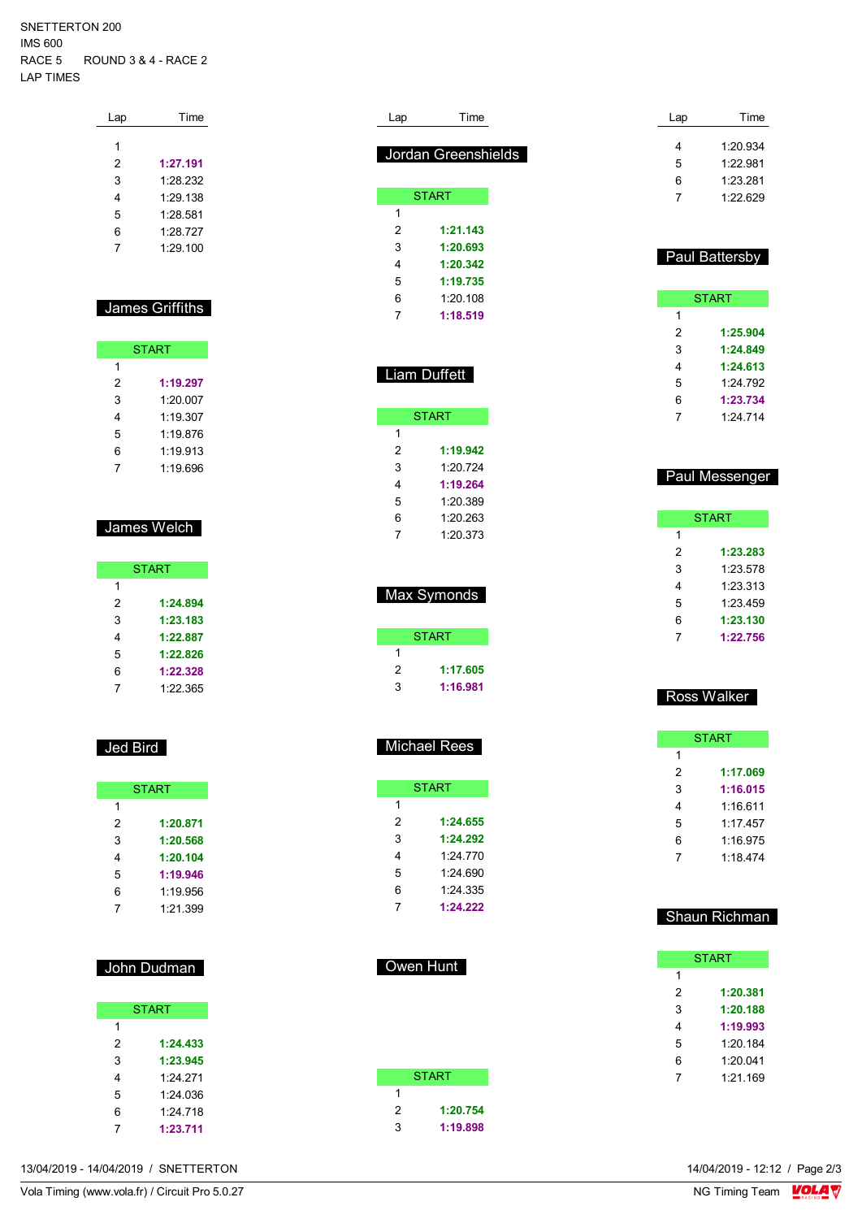SNETTERTON 200 IMS 600 RACE 5 ROUND 3 & 4 - RACE 2 LAP TIMES

| Lap | Time     |
|-----|----------|
|     |          |
| 1   |          |
| 2   | 1:27.191 |
| 3   | 1:28.232 |
| 4   | 1:29.138 |
| 5   | 1.28581  |
| 6   | 1.28 727 |
| 7   | 1:29.100 |
|     |          |

#### James Griffiths

| <b>START</b> |          |  |
|--------------|----------|--|
| 1            |          |  |
| 2            | 1:19.297 |  |
| 3            | 1:20007  |  |
| 4            | 1.19.307 |  |
| 5            | 1.19876  |  |
| 6            | 1:19.913 |  |
|              | 1:19.696 |  |

#### James Welch

|   | <b>START</b> |
|---|--------------|
| 1 |              |
| 2 | 1:24.894     |
| 3 | 1:23.183     |
| 4 | 1:22.887     |
| 5 | 1:22.826     |
| 6 | 1:22.328     |
|   | 1:22.365     |

#### Jed Bird

| <b>START</b> |          |
|--------------|----------|
| 1            |          |
| 2            | 1:20.871 |
| 3            | 1:20.568 |
| 4            | 1:20.104 |
| 5            | 1:19.946 |
| 6            | 1:19.956 |
|              | 1:21.399 |

#### John Dudman

|   | <b>START</b> |
|---|--------------|
| 1 |              |
| 2 | 1:24.433     |
| 3 | 1:23.945     |
| 4 | 1.24 271     |
| 5 | 1:24.036     |
| 6 | 1:24.718     |
|   | 1:23.711     |

| Lap | Time                       |
|-----|----------------------------|
|     | <b>Jordan Greenshields</b> |
|     |                            |
|     | <b>START</b>               |
| 1   |                            |
| 2   | 1:21.143                   |
| 3   | 1:20.693                   |
| 4   | 1:20.342                   |
| 5   | 1:19.735                   |
| 6   | 1.20108                    |
| 7   | 1:18.519                   |

| Liam Duffett |              |  |
|--------------|--------------|--|
|              | <b>START</b> |  |
| 1            |              |  |
| 2            | 1:19.942     |  |
| 3            | 1.20 724     |  |
| 4            | 1:19.264     |  |
| 5            | 1.20 389     |  |
| 6            | 1.20 263     |  |
| 7            | 1:20.373     |  |

| Max Symonds |
|-------------|
|-------------|

|   |   | <b>START</b> |
|---|---|--------------|
|   |   |              |
| 2 |   | 1:17.605     |
|   | з | 1:16.981     |

Michael Rees

|   | START    |
|---|----------|
| 1 |          |
| 2 | 1:24.655 |
| 3 | 1:24.292 |
| 4 | 1.24 770 |
| 5 | 1:24.690 |
| 6 | 1.24.335 |
| 7 | 1:24.222 |

|   | <b>START</b> |
|---|--------------|
| 1 |              |
| 2 | 1:20.754     |
| 3 | 1:19.898     |
|   |              |

Owen Hunt

| Lap | Time     |
|-----|----------|
| 4   | 1.20.934 |
| 5   | 1.22.981 |
| 6   | 1:23.281 |
| 7   | 1.22.629 |
|     |          |

#### Paul Battersby

| <b>START</b> |          |  |  |  |  |
|--------------|----------|--|--|--|--|
| 1            |          |  |  |  |  |
| 2            | 1:25.904 |  |  |  |  |
| 3            | 1:24.849 |  |  |  |  |
| 4            | 1:24.613 |  |  |  |  |
| 5            | 1.24 792 |  |  |  |  |
| 6            | 1:23.734 |  |  |  |  |
| 7            | 1.24 714 |  |  |  |  |

#### Paul Messenger

| START |          |  |  |  |  |
|-------|----------|--|--|--|--|
| 1     |          |  |  |  |  |
| 2     | 1:23.283 |  |  |  |  |
| 3     | 1:23.578 |  |  |  |  |
| 4     | 1:23.313 |  |  |  |  |
| 5     | 1:23.459 |  |  |  |  |
| 6     | 1:23.130 |  |  |  |  |
|       | 1:22.756 |  |  |  |  |

#### Ross Walker

| <b>START</b> |          |  |  |  |
|--------------|----------|--|--|--|
| 1            |          |  |  |  |
| 2            | 1:17.069 |  |  |  |
| 3            | 1:16.015 |  |  |  |
| 4            | 1:16.611 |  |  |  |
| 5            | 1.17457  |  |  |  |
| 6            | 1:16.975 |  |  |  |
| 7            | 1.18474  |  |  |  |
|              |          |  |  |  |

#### Shaun Richman

| <b>START</b> |          |  |  |  |  |
|--------------|----------|--|--|--|--|
| 1            |          |  |  |  |  |
| 2            | 1:20.381 |  |  |  |  |
| 3            | 1:20.188 |  |  |  |  |
| 4            | 1:19.993 |  |  |  |  |
| 5            | 1:20.184 |  |  |  |  |
| 6            | 1.20 041 |  |  |  |  |
|              | 1.21169  |  |  |  |  |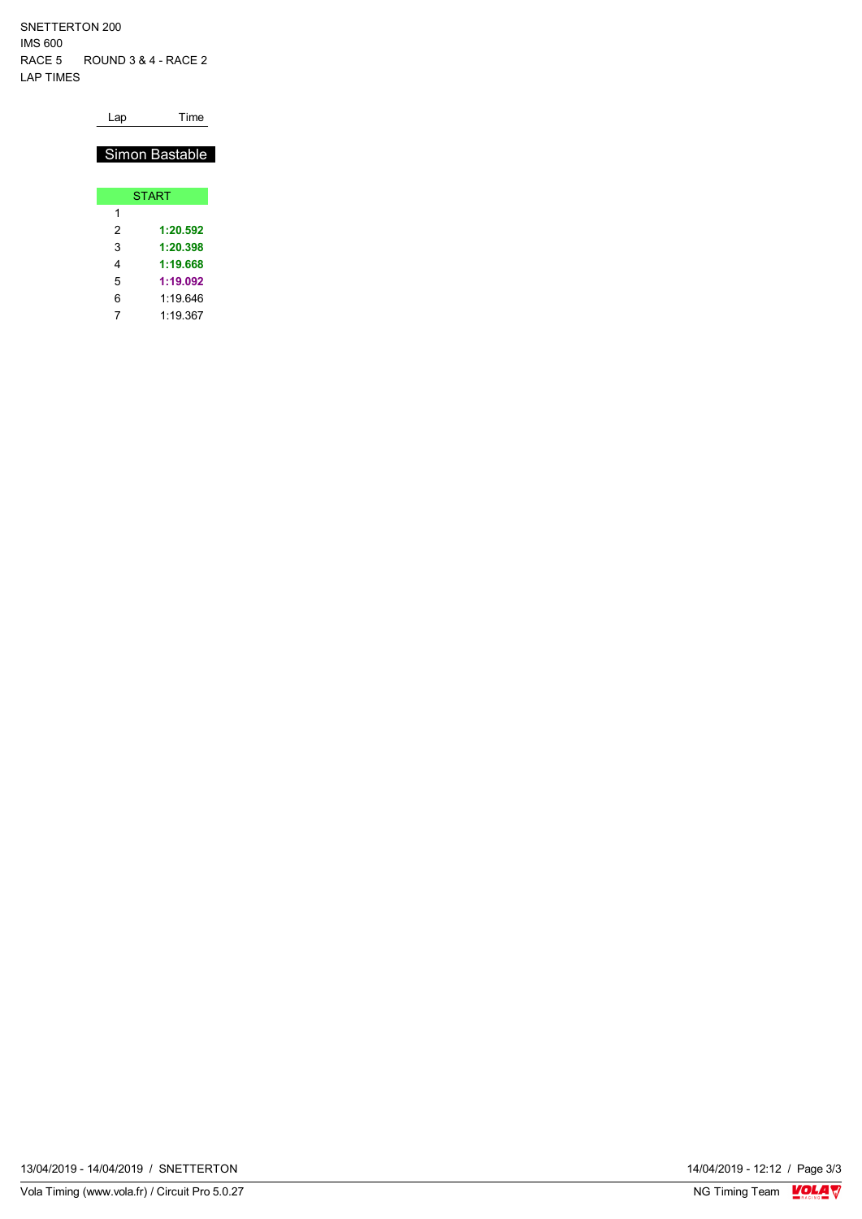SNETTERTON 200 IMS 600 RACE 5 ROUND 3 & 4 - RACE 2 LAP TIMES

Lap Time

#### Simon Bastable

|   | <b>START</b> |
|---|--------------|
| 1 |              |
| 2 | 1:20.592     |
| 3 | 1:20.398     |
| 4 | 1:19.668     |
| 5 | 1:19.092     |
| 6 | 1:19.646     |
|   | 1:19.367     |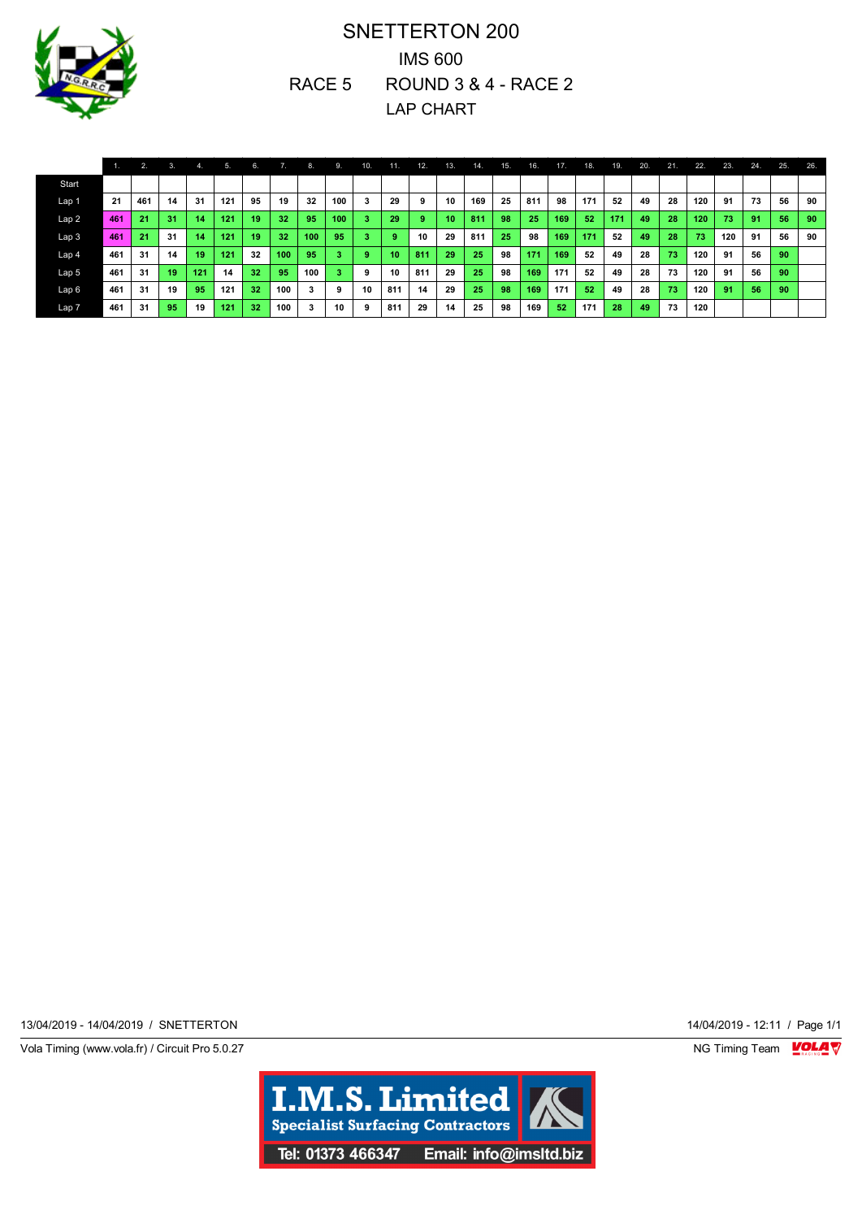

## SNETTERTON 200 IMS 600 RACE 5 ROUND 3 & 4 - RACE 2 LAP CHART

|                  |     | 2.  | 3.   | -4. | 5.  | 6. |     | 8.  | 9.  | 10. | 11. | 12. | 13. | 14. | 15. | 16. | 17. | 18. | 19. | 20. | 21. | 22. | 23. | 24. | 25. | 26. |
|------------------|-----|-----|------|-----|-----|----|-----|-----|-----|-----|-----|-----|-----|-----|-----|-----|-----|-----|-----|-----|-----|-----|-----|-----|-----|-----|
| <b>Start</b>     |     |     |      |     |     |    |     |     |     |     |     |     |     |     |     |     |     |     |     |     |     |     |     |     |     |     |
| Lap <sub>1</sub> | 21  | 461 | 14   | 31  | 121 | 95 | 19  | 32  | 100 | 3   | 29  | 9   | 10  | 169 | 25  | 811 | 98  | 171 | 52  | 49  | 28  | 120 | 91  | 73  | 56  | 90  |
| Lap <sub>2</sub> | 461 | 21  | 31   | 14  | 121 | 19 | 32  | 95  | 100 | 3   | 29  | 9   | 10  | 811 | 98  | 25  | 169 | 52  | 171 | 49  | 28  | 120 | 73  | 91  | 56  | 90  |
| Lap <sub>3</sub> | 461 | 21  | - 31 | 14  | 121 | 19 | 32  | 100 | 95  | 3   |     | 10  | 29  | 811 | 25  | 98  | 169 | 171 | 52  | 49  | 28  | 73  | 120 | 91  | 56  | 90  |
| Lap 4            | 461 | 31  | 14   | 19  | 121 | 32 | 100 | 95  | з   | 9   | 10  | 811 | 29  | 25  | 98  | 171 | 169 | 52  | 49  | 28  | 73  | 120 | 91  | 56  | 90  |     |
| Lap <sub>5</sub> | 461 | 31  | 19   | 121 | 14  | 32 | 95  | 100 | з   | 9   | 10  | 811 | 29  | 25  | 98  | 169 | 171 | 52  | 49  | 28  | 73  | 120 | 91  | 56  | 90  |     |
| Lap6             | 461 | 31  | 19   | 95  | 121 | 32 | 100 | 3   | 9   | 10  | 811 | 14  | 29  | 25  | 98  | 169 | 171 | 52  | 49  | 28  | 73  | 120 | 91  | 56  | 90  |     |
| Lap <sub>7</sub> | 461 | 31  | 95   | 19  | 121 | 32 | 100 | 3   | 10  | 9   | 811 | 29  | 14  | 25  | 98  | 169 | 52  | 171 | 28  | 49  | 73  | 120 |     |     |     |     |

13/04/2019 - 14/04/2019 / SNETTERTON 14/04/2019 - 12:11 / Page 1/1

Vola Timing (www.vola.fr) / Circuit Pro 5.0.27 **NG Timing Team** Vola Timing Team VOLA V

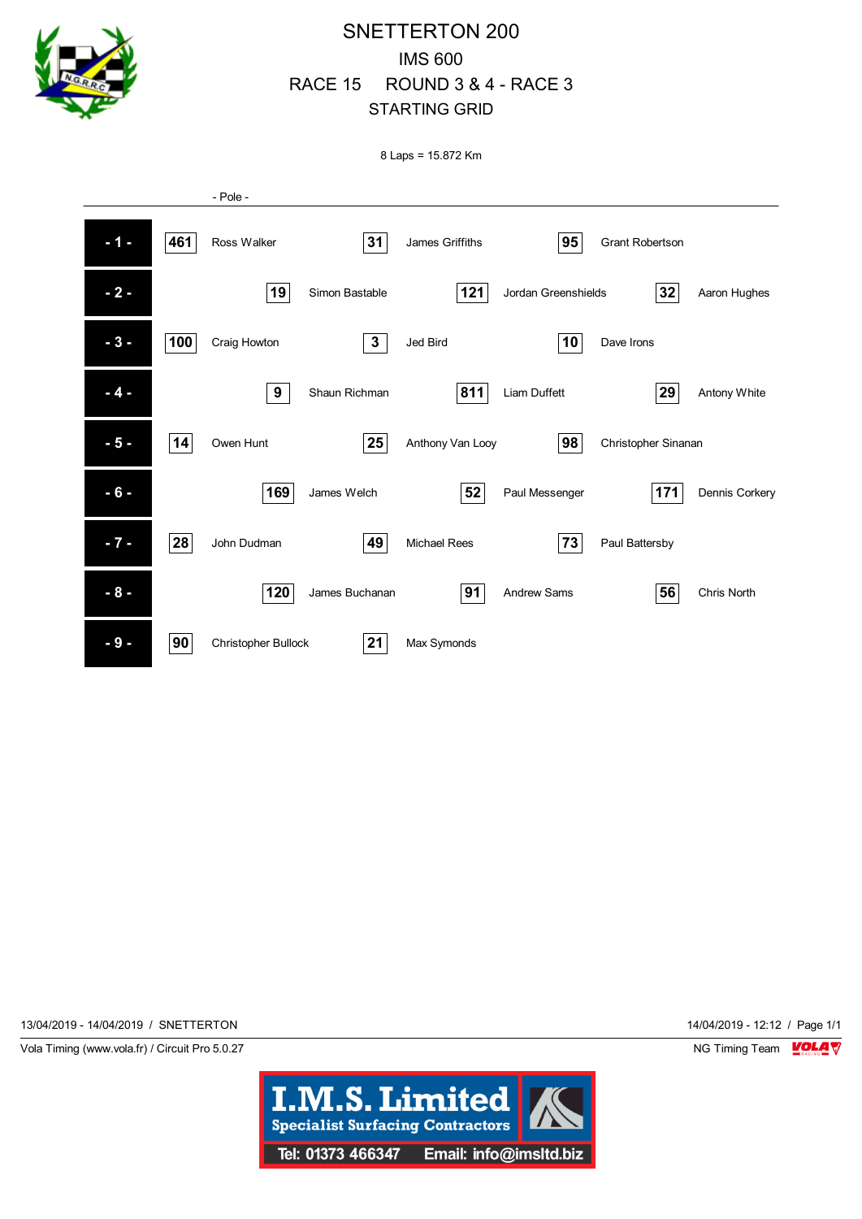

## SNETTERTON 200 IMS 600 RACE 15 ROUND 3 & 4 - RACE 3 STARTING GRID

8 Laps = 15.872 Km



13/04/2019 - 14/04/2019 / SNETTERTON 14/04/2019 - 12:12 / Page 1/1

Vola Timing (www.vola.fr) / Circuit Pro 5.0.27 NG Timing Team NG Timing Team NG Timing Team NG Timing Team NG

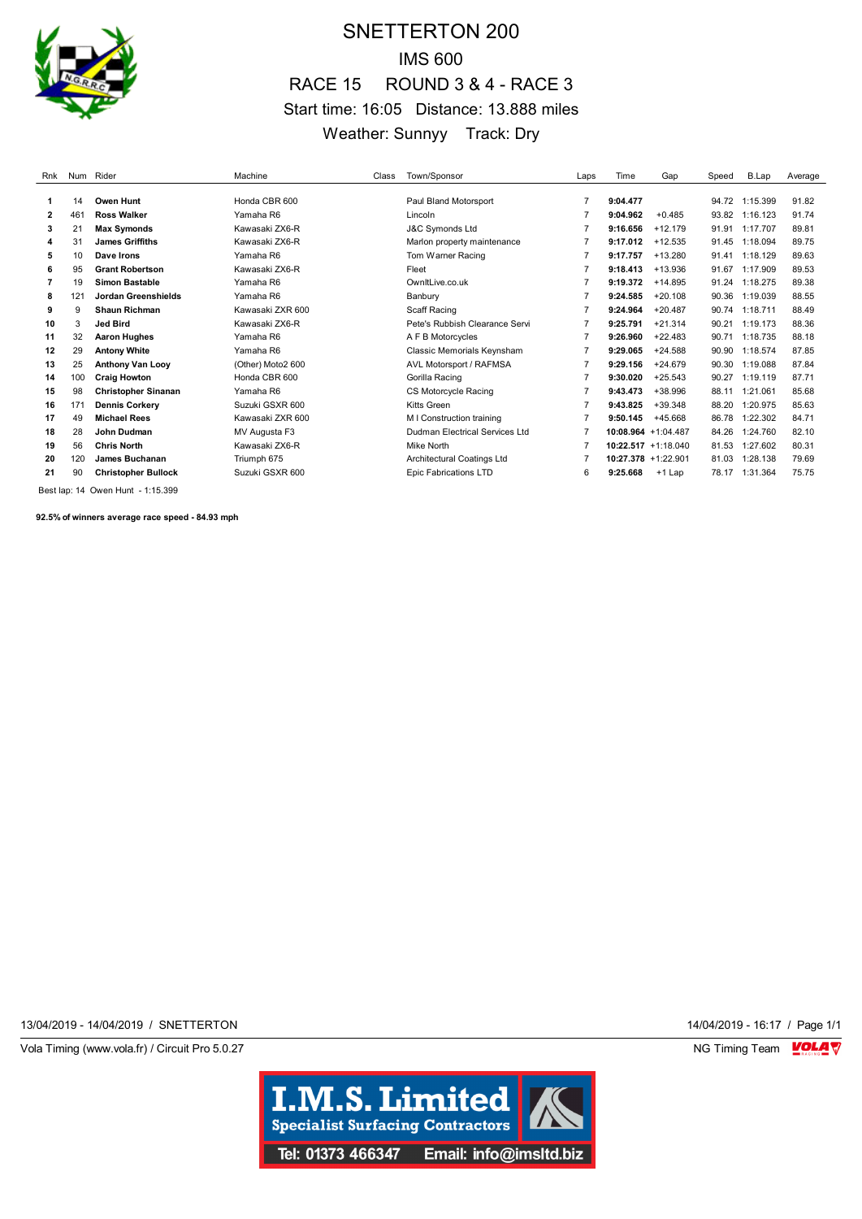

## SNETTERTON 200 IMS 600 RACE 15 ROUND 3 & 4 - RACE 3 Start time: 16:05 Distance: 13.888 miles Weather: Sunnyy Track: Dry

| Rnk | Num | Rider                      | Machine           | Class | Town/Sponsor                   | Laps           | Time                   | Gap                    | Speed | B.Lap    | Average |
|-----|-----|----------------------------|-------------------|-------|--------------------------------|----------------|------------------------|------------------------|-------|----------|---------|
|     | 14  | Owen Hunt                  | Honda CBR 600     |       | Paul Bland Motorsport          | $\overline{7}$ | 9:04.477               |                        | 94.72 | 1:15.399 | 91.82   |
| 2   | 461 | <b>Ross Walker</b>         | Yamaha R6         |       | Lincoln                        |                | 9:04.962               | $+0.485$               | 93.82 | 1:16.123 | 91.74   |
| 3   | 21  | <b>Max Symonds</b>         | Kawasaki ZX6-R    |       | <b>J&amp;C Symonds Ltd</b>     |                | 9:16.656               | $+12.179$              | 91.91 | 1:17.707 | 89.81   |
| 4   | 31  | <b>James Griffiths</b>     | Kawasaki ZX6-R    |       | Marlon property maintenance    |                | 9:17.012               | $+12.535$              | 91.45 | 1:18.094 | 89.75   |
| 5   | 10  | Dave Irons                 | Yamaha R6         |       | Tom Warner Racing              | $\overline{7}$ | 9:17.757               | $+13.280$              | 91.41 | 1:18.129 | 89.63   |
| 6   | 95  | <b>Grant Robertson</b>     | Kawasaki ZX6-R    |       | Fleet                          | $\overline{7}$ | 9:18.413               | $+13.936$              | 91.67 | 1:17.909 | 89.53   |
|     | 19  | <b>Simon Bastable</b>      | Yamaha R6         |       | OwnitLive.co.uk                | 7              | 9:19.372               | $+14.895$              | 91.24 | 1:18.275 | 89.38   |
| 8   | 121 | Jordan Greenshields        | Yamaha R6         |       | Banbury                        |                | 9:24.585               | $+20.108$              | 90.36 | 1:19.039 | 88.55   |
| 9   | 9   | <b>Shaun Richman</b>       | Kawasaki ZXR 600  |       | Scaff Racing                   |                | 9:24.964               | $+20.487$              | 90.74 | 1:18.711 | 88.49   |
| 10  | 3   | Jed Bird                   | Kawasaki ZX6-R    |       | Pete's Rubbish Clearance Servi | $\overline{7}$ | 9:25.791               | $+21.314$              | 90.21 | 1:19.173 | 88.36   |
| 11  | 32  | <b>Aaron Hughes</b>        | Yamaha R6         |       | A F B Motorcycles              | $\overline{7}$ | 9:26.960               | $+22.483$              | 90.71 | 1:18.735 | 88.18   |
| 12  | 29  | <b>Antony White</b>        | Yamaha R6         |       | Classic Memorials Keynsham     |                | 9:29.065               | $+24.588$              | 90.90 | 1:18.574 | 87.85   |
| 13  | 25  | <b>Anthony Van Looy</b>    | (Other) Moto2 600 |       | AVL Motorsport / RAFMSA        |                | 9:29.156               | $+24.679$              | 90.30 | 1:19.088 | 87.84   |
| 14  | 100 | <b>Craig Howton</b>        | Honda CBR 600     |       | Gorilla Racing                 | $\overline{7}$ | 9:30.020               | $+25.543$              | 90.27 | 1:19.119 | 87.71   |
| 15  | 98  | <b>Christopher Sinanan</b> | Yamaha R6         |       | CS Motorcycle Racing           | $\overline{7}$ | 9:43.473               | +38.996                | 88.11 | 1:21.061 | 85.68   |
| 16  | 171 | <b>Dennis Corkery</b>      | Suzuki GSXR 600   |       | Kitts Green                    | $\overline{7}$ | 9:43.825               | $+39.348$              | 88.20 | 1:20.975 | 85.63   |
| 17  | 49  | <b>Michael Rees</b>        | Kawasaki ZXR 600  |       | M I Construction training      |                | 9:50.145               | $+45.668$              | 86.78 | 1:22.302 | 84.71   |
| 18  | 28  | John Dudman                | MV Augusta F3     |       | Dudman Electrical Services Ltd |                |                        | 10:08.964 +1:04.487    | 84.26 | 1:24.760 | 82.10   |
| 19  | 56  | <b>Chris North</b>         | Kawasaki ZX6-R    |       | <b>Mike North</b>              | $\overline{7}$ |                        | $10:22.517 + 1:18.040$ | 81.53 | 1:27.602 | 80.31   |
| 20  | 120 | <b>James Buchanan</b>      | Triumph 675       |       | Architectural Coatings Ltd     | $\overline{7}$ | $10:27.378 + 1:22.901$ |                        | 81.03 | 1:28.138 | 79.69   |
| 21  | 90  | <b>Christopher Bullock</b> | Suzuki GSXR 600   |       | Epic Fabrications LTD          | 6              | 9:25.668               | $+1$ Lap               | 78.17 | 1:31.364 | 75.75   |

Best lap: 14 Owen Hunt - 1:15.399

**92.5% of winners average race speed - 84.93 mph**

13/04/2019 - 14/04/2019 / SNETTERTON 14/04/2019 - 16:17 / Page 1/1

Vola Timing (www.vola.fr) / Circuit Pro 5.0.27 **NG Timing Team** Vola Timing Team VOLA V

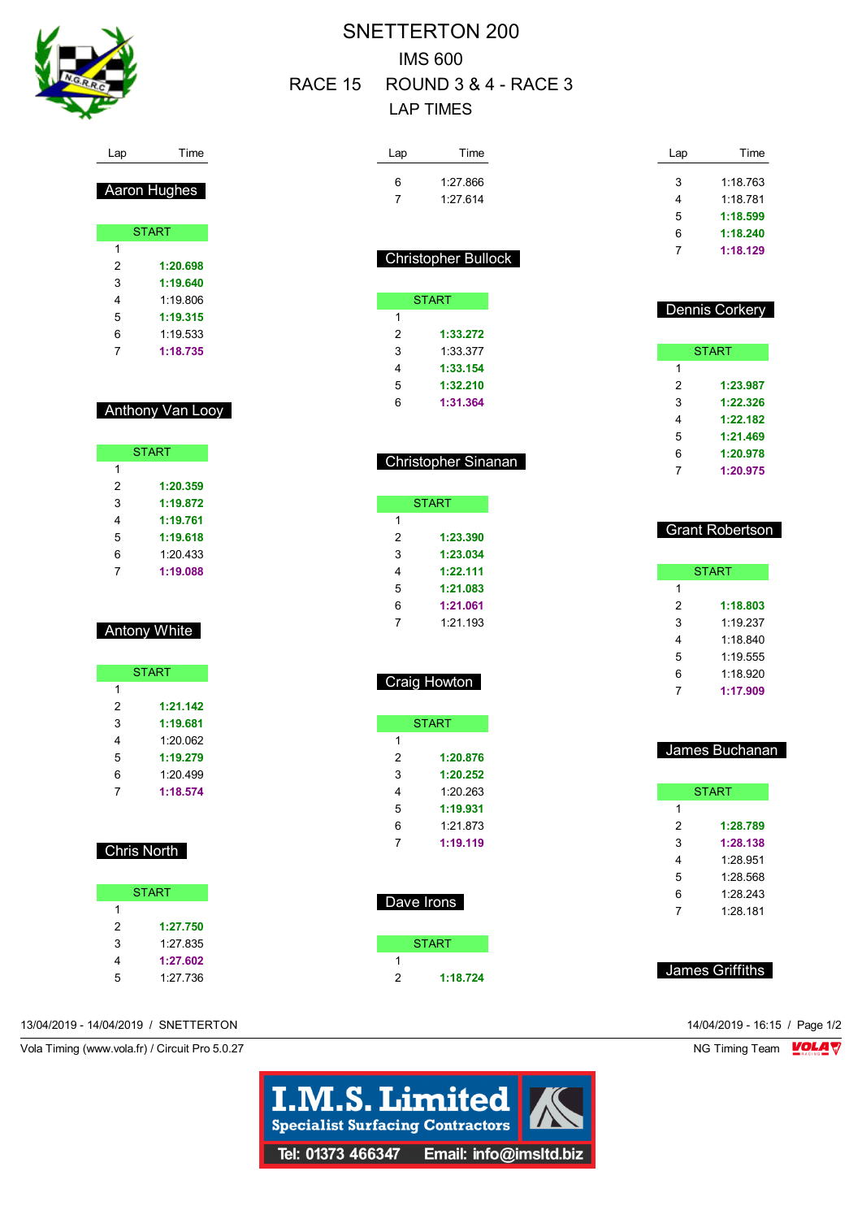

Lap Time

Aaron Hughes

**START** 

 **1:20.698 1:19.640** 1:19.806 **1:19.315** 1:19.533 **1:18.735**

Anthony Van Looy

**START** 

 **1:20.359 1:19.872 1:19.761 1:19.618** 1:20.433 **1:19.088**

Antony White

**START** 

 **1:21.142 1:19.681** 1:20.062 **1:19.279** 1:20.499 **1:18.574**

Chris North

**START** 

 **1:27.750** 1:27.835 **1:27.602** 1:27.736

 $\overline{1}$ 

## SNETTERTON 200 IMS 600 RACE 15 ROUND 3 & 4 - RACE 3 LAP TIMES

| Lap            | Time                       | Lap | Time                   |
|----------------|----------------------------|-----|------------------------|
| 6              | 1:27.866                   | 3   | 1:18.763               |
| 7              | 1:27.614                   | 4   | 1:18.781               |
|                |                            | 5   | 1:18.599               |
|                |                            | 6   | 1:18.240               |
|                | <b>Christopher Bullock</b> | 7   | 1:18.129               |
|                |                            |     |                        |
|                | <b>START</b>               |     | <b>Dennis Corkery</b>  |
| 1              |                            |     |                        |
| $\overline{2}$ | 1:33.272                   |     |                        |
| 3              | 1:33.377                   |     | <b>START</b>           |
| 4              | 1:33.154                   | 1   |                        |
| 5              | 1:32.210                   | 2   | 1:23.987               |
| 6              | 1:31.364                   | 3   | 1:22.326               |
|                |                            | 4   | 1:22.182               |
|                |                            | 5   | 1:21.469               |
|                | Christopher Sinanan        | 6   | 1:20.978               |
|                |                            | 7   | 1:20.975               |
|                | <b>START</b>               |     |                        |
| 1              |                            |     |                        |
| 2              | 1:23.390                   |     | <b>Grant Robertson</b> |
| 3              | 1:23.034                   |     |                        |
| 4              | 1:22.111                   |     | <b>START</b>           |
| 5              | 1:21.083                   | 1   |                        |
| 6              |                            |     |                        |
|                | 1:21.061                   | 2   | 1:18.803               |
| 7              | 1:21.193                   | 3   | 1:19.237               |
|                |                            | 4   | 1:18.840               |
|                |                            | 5   | 1:19.555               |
|                |                            | 6   | 1:18.920               |
|                | Craig Howton               | 7   | 1:17.909               |
|                |                            |     |                        |
| 1              | <b>START</b>               |     |                        |
| 2              | 1:20.876                   |     | James Buchanan         |
| 3              | 1:20.252                   |     |                        |
| 4              | 1:20.263                   |     | <b>START</b>           |
| 5              | 1:19.931                   | 1   |                        |
| 6              | 1:21.873                   | 2   | 1:28.789               |
| 7              | 1:19.119                   | 3   | 1:28.138               |
|                |                            | 4   | 1:28.951               |
|                |                            | 5   | 1:28.568               |
|                |                            | 6   | 1:28.243               |
| Dave Irons     |                            | 7   | 1:28.181               |
|                |                            |     |                        |
| 1              | <b>START</b>               |     |                        |
| 2              | 1:18.724                   |     | James Griffiths        |

13/04/2019 - 14/04/2019 / SNETTERTON 14/04/2019 - 16:15 / Page 1/2

Vola Timing (www.vola.fr) / Circuit Pro 5.0.27 NG Timing Team VOLA V

**I.M.S. Limited Specialist Surfacing Contractors** Tel: 01373 466347 Email: info@imsltd.biz